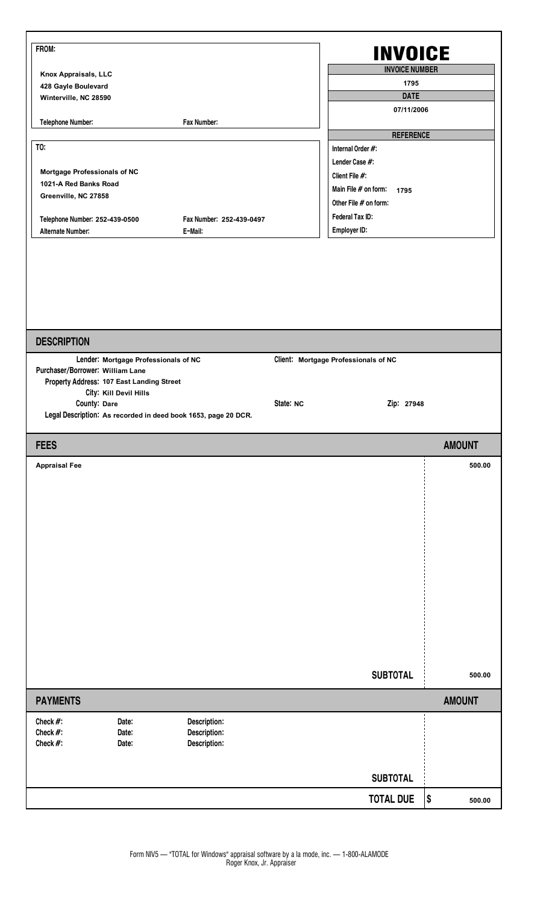| FROM:<br>Knox Appraisals, LLC<br>428 Gayle Boulevard<br>Winterville, NC 28590                                                                             |                                                                                                             |                                                                |                                                                     | <b>INVOICE</b><br><b>INVOICE NUMBER</b><br>1795<br><b>DATE</b>             |                         |
|-----------------------------------------------------------------------------------------------------------------------------------------------------------|-------------------------------------------------------------------------------------------------------------|----------------------------------------------------------------|---------------------------------------------------------------------|----------------------------------------------------------------------------|-------------------------|
|                                                                                                                                                           |                                                                                                             |                                                                |                                                                     | 07/11/2006                                                                 |                         |
| <b>Telephone Number:</b>                                                                                                                                  |                                                                                                             | Fax Number:                                                    |                                                                     | <b>REFERENCE</b>                                                           |                         |
| <b>TO:</b><br>Mortgage Professionals of NC<br>1021-A Red Banks Road<br>Greenville, NC 27858<br>Telephone Number: 252-439-0500<br><b>Alternate Number:</b> |                                                                                                             | Fax Number: 252-439-0497<br>E-Mail:                            | Lender Case #:<br>Client File #:<br>Federal Tax ID:<br>Employer ID: | Internal Order #:<br>Main File # on form:<br>1795<br>Other File # on form: |                         |
| <b>DESCRIPTION</b>                                                                                                                                        |                                                                                                             |                                                                |                                                                     |                                                                            |                         |
| Purchaser/Borrower: William Lane<br>County: Dare                                                                                                          | Lender: Mortgage Professionals of NC<br>Property Address: 107 East Landing Street<br>City: Kill Devil Hills | Legal Description: As recorded in deed book 1653, page 20 DCR. | Client: Mortgage Professionals of NC<br>State: NC                   | Zip: 27948                                                                 |                         |
| <b>FEES</b>                                                                                                                                               |                                                                                                             |                                                                |                                                                     |                                                                            | <b>AMOUNT</b>           |
| <b>Appraisal Fee</b>                                                                                                                                      |                                                                                                             |                                                                |                                                                     |                                                                            | 500.00                  |
|                                                                                                                                                           |                                                                                                             |                                                                |                                                                     | <b>SUBTOTAL</b>                                                            | 500.00                  |
| <b>PAYMENTS</b>                                                                                                                                           |                                                                                                             |                                                                |                                                                     |                                                                            | <b>AMOUNT</b>           |
| Check #:<br>Check #:<br>Check #:                                                                                                                          | Date:<br>Date:<br>Date:                                                                                     | <b>Description:</b><br>Description:<br>Description:            |                                                                     |                                                                            |                         |
|                                                                                                                                                           |                                                                                                             |                                                                |                                                                     | <b>SUBTOTAL</b>                                                            |                         |
|                                                                                                                                                           |                                                                                                             |                                                                |                                                                     | <b>TOTAL DUE</b>                                                           | $\frac{1}{2}$<br>500.00 |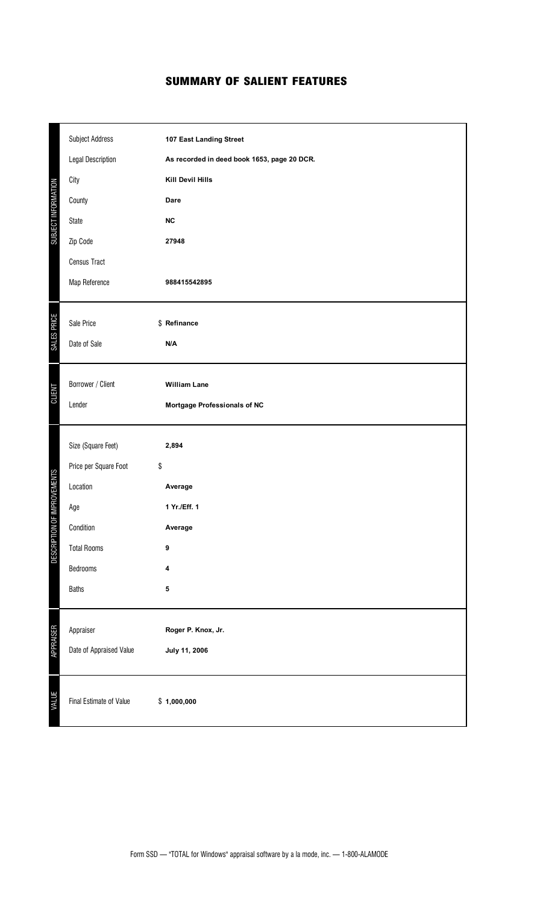# **SUMMARY OF SALIENT FEATURES**

|                             | Subject Address             | 107 East Landing Street                     |
|-----------------------------|-----------------------------|---------------------------------------------|
|                             | Legal Description           | As recorded in deed book 1653, page 20 DCR. |
|                             | City                        | <b>Kill Devil Hills</b>                     |
| SUBJECT INFORMATION         | County                      | Dare                                        |
|                             | State                       | NC                                          |
|                             | Zip Code                    | 27948                                       |
|                             | <b>Census Tract</b>         |                                             |
|                             | Map Reference               | 988415542895                                |
|                             |                             |                                             |
| SALES PRICE                 | Sale Price                  | \$ Refinance                                |
|                             | Date of Sale                | N/A                                         |
|                             |                             |                                             |
| <b>CLIENT</b>               | Borrower / Client           | <b>William Lane</b>                         |
|                             | Lender                      | Mortgage Professionals of NC                |
|                             | Size (Square Feet)          | 2,894                                       |
|                             | Price per Square Foot<br>\$ |                                             |
| DESCRIPTION OF IMPROVEMENTS | Location                    | Average                                     |
|                             | Age                         | 1 Yr./Eff. 1                                |
|                             | Condition                   | Average                                     |
|                             | <b>Total Rooms</b>          | 9                                           |
|                             | Bedrooms                    | 4                                           |
|                             | <b>Baths</b>                | 5                                           |
|                             |                             |                                             |
| <b>APPRAISER</b>            | Appraiser                   | Roger P. Knox, Jr.                          |
|                             | Date of Appraised Value     | July 11, 2006                               |
| Е                           |                             |                                             |
| VALUE                       | Final Estimate of Value     | \$1,000,000                                 |
|                             |                             |                                             |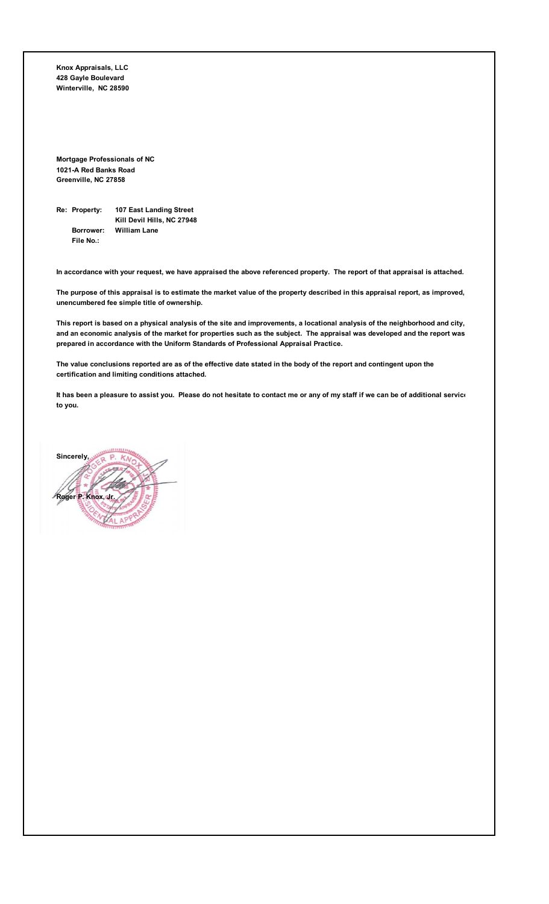**Knox Appraisals, LLC 428 Gayle Boulevard Winterville, NC 28590**

**Mortgage Professionals of NC 1021-A Red Banks Road Greenville, NC 27858**

#### **Re: Property: 107 East Landing Street Kill Devil Hills, NC 27948 Borrower: William Lane File No.:**

**In accordance with your request, we have appraised the above referenced property. The report of that appraisal is attached.**

**The purpose of this appraisal is to estimate the market value of the property described in this appraisal report, as improved, in unencumbered fee simple title of ownership.**

**This report is based on a physical analysis of the site and improvements, a locational analysis of the neighborhood and city, and an economic analysis of the market for properties such as the subject. The appraisal was developed and the report was prepared in accordance with the Uniform Standards of Professional Appraisal Practice.**

**The value conclusions reported are as of the effective date stated in the body of the report and contingent upon the certification and limiting conditions attached.**

**It has been a pleasure to assist you. Please do not hesitate to contact me or any of my staff if we can be of additional service to you.**

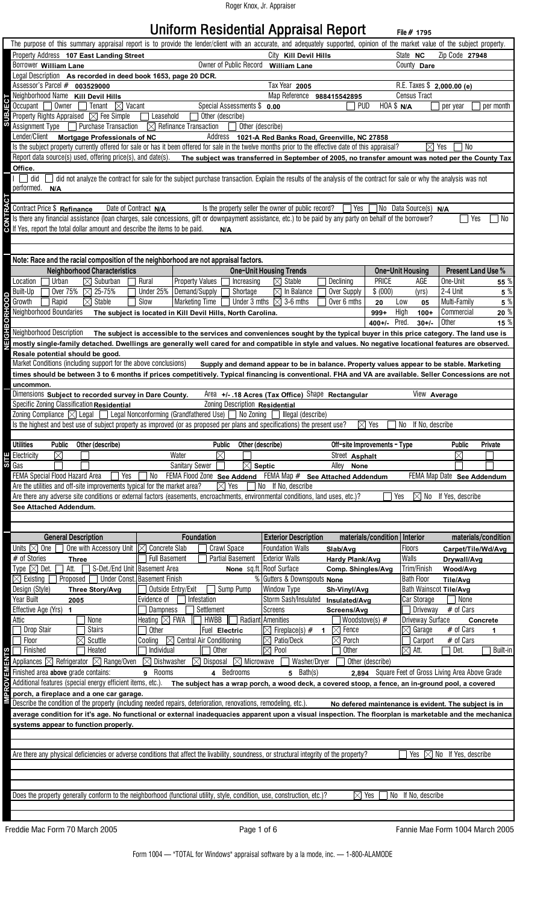## Roger Knox, Jr. Appraiser

|             |                                                                                                                                                                                                                     |                                                                     |                                                       |                          | <b>Uniform Residential Appraisal Report</b>                                                                                    |                                                |                                | File # 1795                      |                                                      |                     |
|-------------|---------------------------------------------------------------------------------------------------------------------------------------------------------------------------------------------------------------------|---------------------------------------------------------------------|-------------------------------------------------------|--------------------------|--------------------------------------------------------------------------------------------------------------------------------|------------------------------------------------|--------------------------------|----------------------------------|------------------------------------------------------|---------------------|
|             | The purpose of this summary appraisal report is to provide the lender/client with an accurate, and adequately supported, opinion of the market value of the subject property.                                       |                                                                     |                                                       |                          |                                                                                                                                |                                                |                                |                                  |                                                      |                     |
|             | Property Address 107 East Landing Street                                                                                                                                                                            |                                                                     | Owner of Public Record                                |                          | City Kill Devil Hills                                                                                                          |                                                |                                | State <b>NC</b>                  | Zip Code 27948                                       |                     |
|             | Borrower William Lane<br>Legal Description As recorded in deed book 1653, page 20 DCR.                                                                                                                              |                                                                     |                                                       |                          | <b>William Lane</b>                                                                                                            |                                                |                                | County Dare                      |                                                      |                     |
|             | Assessor's Parcel # 003529000                                                                                                                                                                                       |                                                                     |                                                       |                          | Tax Year 2005                                                                                                                  |                                                |                                | R.E. Taxes \$ 2,000.00 (e)       |                                                      |                     |
|             | Neighborhood Name Kill Devil Hills                                                                                                                                                                                  |                                                                     |                                                       |                          | Map Reference 988415542895                                                                                                     |                                                |                                | <b>Census Tract</b>              |                                                      |                     |
| π           | Vacant<br>Owner<br>Tenant<br>$\bowtie$<br>Occupant                                                                                                                                                                  |                                                                     | Special Assessments \$                                |                          | 0.00                                                                                                                           | <b>PUD</b>                                     | $HOA$ \$ $N/A$                 |                                  | per year                                             | per month           |
|             | Property Rights Appraised $\boxtimes$ Fee Simple<br>Assignment Type<br><b>Purchase Transaction</b>                                                                                                                  | Leasehold<br>M                                                      | Other (describe)<br>Refinance Transaction             | Other (describe)         |                                                                                                                                |                                                |                                |                                  |                                                      |                     |
|             | Lender/Client<br>Mortgage Professionals of NC                                                                                                                                                                       |                                                                     | Address                                               |                          | 1021-A Red Banks Road, Greenville, NC 27858                                                                                    |                                                |                                |                                  |                                                      |                     |
|             | Is the subject property currently offered for sale or has it been offered for sale in the twelve months prior to the effective date of this appraisal?                                                              |                                                                     |                                                       |                          |                                                                                                                                |                                                |                                | $\boxtimes$ Yes                  | No                                                   |                     |
|             | Report data source(s) used, offering price(s), and date(s).                                                                                                                                                         |                                                                     |                                                       |                          | The subject was transferred in September of 2005, no transfer amount was noted per the County Tax                              |                                                |                                |                                  |                                                      |                     |
|             | Office.                                                                                                                                                                                                             |                                                                     |                                                       |                          |                                                                                                                                |                                                |                                |                                  |                                                      |                     |
|             | did not analyze the contract for sale for the subject purchase transaction. Explain the results of the analysis of the contract for sale or why the analysis was not<br>$\vert \vert$ $\vert$ did<br>performed. N/A |                                                                     |                                                       |                          |                                                                                                                                |                                                |                                |                                  |                                                      |                     |
|             |                                                                                                                                                                                                                     |                                                                     |                                                       |                          |                                                                                                                                |                                                |                                |                                  |                                                      |                     |
| <b>RACT</b> | Contract Price \$ Refinance<br>Date of Contract N/A                                                                                                                                                                 |                                                                     |                                                       |                          | Is the property seller the owner of public record?                                                                             | Yes                                            |                                | No Data Source(s) $N/A$          |                                                      |                     |
|             | Is there any financial assistance (loan charges, sale concessions, gift or downpayment assistance, etc.) to be paid by any party on behalf of the borrower?                                                         |                                                                     |                                                       |                          |                                                                                                                                |                                                |                                |                                  | Yes                                                  | No                  |
|             | If Yes, report the total dollar amount and describe the items to be paid.                                                                                                                                           |                                                                     | N/A                                                   |                          |                                                                                                                                |                                                |                                |                                  |                                                      |                     |
|             |                                                                                                                                                                                                                     |                                                                     |                                                       |                          |                                                                                                                                |                                                |                                |                                  |                                                      |                     |
|             | Note: Race and the racial composition of the neighborhood are not appraisal factors.                                                                                                                                |                                                                     |                                                       |                          |                                                                                                                                |                                                |                                |                                  |                                                      |                     |
|             | <b>Neighborhood Characteristics</b>                                                                                                                                                                                 |                                                                     |                                                       |                          | <b>One-Unit Housing Trends</b>                                                                                                 |                                                |                                | <b>One-Unit Housing</b>          | <b>Present Land Use %</b>                            |                     |
|             | $\boxtimes$ Suburban<br>Location<br>Urban                                                                                                                                                                           | Rural                                                               | <b>Property Values</b>                                | Increasing               | Stable<br>M                                                                                                                    | Declining                                      | <b>PRICE</b>                   | AGE                              | One-Unit                                             | 55 %                |
|             | $\boxtimes$ 25-75%<br><b>Over 75%</b><br>Built-Up                                                                                                                                                                   | Under 25%                                                           | Demand/Supply                                         | Shortage                 | $\boxtimes$ In Balance                                                                                                         | Over Supply                                    | \$ (000)                       | (yrs)                            | 2-4 Unit                                             | 5 %                 |
| 0<br>0<br>0 | Growth<br>Rapid<br>$\bowtie$ Stable<br>Neighborhood Boundaries                                                                                                                                                      | Slow<br>The subject is located in Kill Devil Hills, North Carolina. | <b>Marketing Time</b>                                 | Under 3 mths $\boxtimes$ | 3-6 mths                                                                                                                       | Over 6 mths                                    | 20<br>$999+$                   | Low<br>05<br>High<br>$100+$      | Multi-Family<br>Commercial                           | 5%<br>20%           |
|             |                                                                                                                                                                                                                     |                                                                     |                                                       |                          |                                                                                                                                |                                                | 400+/-                         | Pred.<br>$30+/-$                 | Other                                                | 15 $%$              |
| 0<br>王<br>5 | Neighborhood Description                                                                                                                                                                                            |                                                                     |                                                       |                          | The subject is accessible to the services and conveniences sought by the typical buyer in this price category. The land use is |                                                |                                |                                  |                                                      |                     |
| π           | mostly single-family detached. Dwellings are generally well cared for and compatible in style and values. No negative locational features are observed.                                                             |                                                                     |                                                       |                          |                                                                                                                                |                                                |                                |                                  |                                                      |                     |
|             | Resale potential should be good.                                                                                                                                                                                    |                                                                     |                                                       |                          |                                                                                                                                |                                                |                                |                                  |                                                      |                     |
|             | Market Conditions (including support for the above conclusions)                                                                                                                                                     |                                                                     |                                                       |                          | Supply and demand appear to be in balance. Property values appear to be stable. Marketing                                      |                                                |                                |                                  |                                                      |                     |
|             | times should be between 3 to 6 months if prices competitively. Typical financing is conventional. FHA and VA are available. Seller Concessions are not<br>uncommon.                                                 |                                                                     |                                                       |                          |                                                                                                                                |                                                |                                |                                  |                                                      |                     |
|             | Dimensions Subject to recorded survey in Dare County.                                                                                                                                                               |                                                                     |                                                       |                          | Area +/- .18 Acres (Tax Office) Shape Rectangular                                                                              |                                                |                                | View Average                     |                                                      |                     |
|             | Specific Zoning Classification Residential                                                                                                                                                                          |                                                                     |                                                       |                          | Zoning Description Residential                                                                                                 |                                                |                                |                                  |                                                      |                     |
|             | Zoning Compliance $\boxtimes$ Legal                                                                                                                                                                                 | Legal Nonconforming (Grandfathered Use) No Zoning                   |                                                       |                          | Illegal (describe)                                                                                                             |                                                |                                |                                  |                                                      |                     |
|             |                                                                                                                                                                                                                     |                                                                     |                                                       |                          |                                                                                                                                |                                                |                                |                                  |                                                      |                     |
|             | Is the highest and best use of subject property as improved (or as proposed per plans and specifications) the present use?                                                                                          |                                                                     |                                                       |                          |                                                                                                                                |                                                | $\boxtimes$ Yes                | No If No. describe               |                                                      |                     |
|             |                                                                                                                                                                                                                     |                                                                     |                                                       |                          |                                                                                                                                |                                                |                                |                                  |                                                      |                     |
|             | Public<br><b>Utilities</b><br>Other (describe)<br>Electricity<br>M                                                                                                                                                  | Water                                                               | <b>Public</b><br>$\boxtimes$                          | Other (describe)         |                                                                                                                                | Off-site Improvements - Type<br>Street Asphalt |                                |                                  | Public<br>$\boxtimes$                                | Private             |
| 517         | Gas                                                                                                                                                                                                                 |                                                                     | Sanitary Sewer                                        | $\boxtimes$              | <b>Septic</b>                                                                                                                  | Alley<br><b>None</b>                           |                                |                                  |                                                      |                     |
|             | FEMA Special Flood Hazard Area<br>Yes                                                                                                                                                                               | No                                                                  |                                                       |                          | FEMA Flood Zone See Addend FEMA Map # See Attached Addendum                                                                    |                                                |                                |                                  | FEMA Map Date See Addendum                           |                     |
|             | Are the utilities and off-site improvements typical for the market area?                                                                                                                                            |                                                                     | $\boxtimes$ Yes                                       |                          | No If No, describe                                                                                                             |                                                |                                |                                  |                                                      |                     |
|             | Are there any adverse site conditions or external factors (easements, encroachments, environmental conditions, land uses, etc.)?                                                                                    |                                                                     |                                                       |                          |                                                                                                                                |                                                |                                | Yes                              | $\boxtimes$ No If Yes, describe                      |                     |
|             | See Attached Addendum.                                                                                                                                                                                              |                                                                     |                                                       |                          |                                                                                                                                |                                                |                                |                                  |                                                      |                     |
|             |                                                                                                                                                                                                                     |                                                                     |                                                       |                          |                                                                                                                                |                                                |                                |                                  |                                                      |                     |
|             | <b>General Description</b>                                                                                                                                                                                          |                                                                     | <b>Foundation</b>                                     |                          | <b>Exterior Description</b>                                                                                                    |                                                | materials/condition   Interior |                                  |                                                      | materials/condition |
|             | Units $\boxtimes$<br>One with Accessory Unit   ⊠ Concrete Slab<br>One                                                                                                                                               |                                                                     | Crawl Space                                           |                          | <b>Foundation Walls</b>                                                                                                        | Slab/Avg                                       |                                | Floors                           | Carpet/Tile/Wd/Avg                                   |                     |
|             | # of Stories<br><b>Three</b>                                                                                                                                                                                        | <b>Full Basement</b>                                                |                                                       | <b>Partial Basement</b>  | <b>Exterior Walls</b><br>Roof Surface                                                                                          | Hardy Plank/Avg                                |                                | Walls                            | Drywall/Avg                                          |                     |
|             | S-Det./End Unit Basement Area<br>Att.<br>Type $\boxtimes$ Det.<br>$\boxtimes$ Existing<br>Proposed                                                                                                                  | Under Const. Basement Finish                                        |                                                       | None sq.ft.              | % Gutters & Downspouts None                                                                                                    | Comp. Shingles/Avg                             |                                | Trim/Finish<br><b>Bath Floor</b> | Wood/Avg<br><b>Tile/Avg</b>                          |                     |
|             | Design (Style)<br><b>Three Story/Avg</b>                                                                                                                                                                            | Outside Entry/Exit                                                  |                                                       | Sump Pump                | <b>Window Type</b>                                                                                                             | Sh-Vinyl/Avg                                   |                                | Bath Wainscot Tile/Avg           |                                                      |                     |
|             | Year Built<br>2005                                                                                                                                                                                                  | Evidence of                                                         | Infestation                                           |                          | Storm Sash/Insulated Insulated/Avg                                                                                             |                                                |                                | Car Storage                      | None                                                 |                     |
|             | Effective Age (Yrs)<br>$\overline{1}$                                                                                                                                                                               | Dampness                                                            | Settlement                                            |                          | Screens                                                                                                                        | Screens/Avg                                    |                                | Driveway                         | # of Cars                                            |                     |
|             | None<br>Attic<br><b>Stairs</b>                                                                                                                                                                                      | Heating $\boxtimes$ FWA<br>Other                                    | <b>HWBB</b>                                           |                          | Radiant Amenities                                                                                                              | Woodstove(s) $#$<br>Fence                      |                                | <b>Driveway Surface</b>          | # of Cars                                            | Concrete<br>1       |
|             | Drop Stair<br>Floor<br>Scuttle                                                                                                                                                                                      | Cooling                                                             | Fuel Electric<br>$\boxtimes$ Central Air Conditioning |                          | $\boxtimes$ Fireplace(s) #<br>X<br>Patio/Deck                                                                                  | 1 $\boxtimes$<br>⊠<br>Porch                    |                                | $\boxtimes$ Garage<br>Carport    | # of Cars                                            |                     |
| ဖို         | Finished<br>Heated                                                                                                                                                                                                  | Individual                                                          | Other                                                 |                          | ⊠<br>Pool                                                                                                                      | Other                                          |                                | $\boxtimes$ Att.                 | Det.                                                 | Built-in            |
|             | Appliances $\boxtimes$ Refrigerator $\boxtimes$ Range/Oven $\boxtimes$ Dishwasher                                                                                                                                   |                                                                     | $\boxtimes$ Disposal                                  | $\boxtimes$ Microwave    | Washer/Dryer                                                                                                                   |                                                | Other (describe)               |                                  |                                                      |                     |
|             | Finished area above grade contains:                                                                                                                                                                                 | 9 Rooms                                                             | 4 Bedrooms                                            |                          | $5$ Bath(s)                                                                                                                    |                                                |                                |                                  | 2,894 Square Feet of Gross Living Area Above Grade   |                     |
| 줌<br>듦<br>る | Additional features (special energy efficient items, etc.).                                                                                                                                                         |                                                                     |                                                       |                          | The subject has a wrap porch, a wood deck, a covered stoop, a fence, an in-ground pool, a covered                              |                                                |                                |                                  |                                                      |                     |
|             | porch, a fireplace and a one car garage.<br>Describe the condition of the property (including needed repairs, deterioration, renovations, remodeling, etc.).                                                        |                                                                     |                                                       |                          |                                                                                                                                |                                                |                                |                                  | No defered maintenance is evident. The subject is in |                     |
|             | average condition for it's age. No functional or external inadequacies apparent upon a visual inspection. The floorplan is marketable and the mechanica                                                             |                                                                     |                                                       |                          |                                                                                                                                |                                                |                                |                                  |                                                      |                     |
|             | systems appear to function properly.                                                                                                                                                                                |                                                                     |                                                       |                          |                                                                                                                                |                                                |                                |                                  |                                                      |                     |
|             |                                                                                                                                                                                                                     |                                                                     |                                                       |                          |                                                                                                                                |                                                |                                |                                  |                                                      |                     |
|             |                                                                                                                                                                                                                     |                                                                     |                                                       |                          |                                                                                                                                |                                                |                                | $\boxtimes$ No<br>Yes            |                                                      |                     |
|             | Are there any physical deficiencies or adverse conditions that affect the livability, soundness, or structural integrity of the property?                                                                           |                                                                     |                                                       |                          |                                                                                                                                |                                                |                                |                                  | If Yes, describe                                     |                     |
|             |                                                                                                                                                                                                                     |                                                                     |                                                       |                          |                                                                                                                                |                                                |                                |                                  |                                                      |                     |
|             |                                                                                                                                                                                                                     |                                                                     |                                                       |                          |                                                                                                                                |                                                |                                |                                  |                                                      |                     |
|             | Does the property generally conform to the neighborhood (functional utility, style, condition, use, construction, etc.)?                                                                                            |                                                                     |                                                       |                          |                                                                                                                                | $\boxtimes$ Yes                                |                                | No If No, describe               |                                                      |                     |
|             |                                                                                                                                                                                                                     |                                                                     |                                                       |                          |                                                                                                                                |                                                |                                |                                  |                                                      |                     |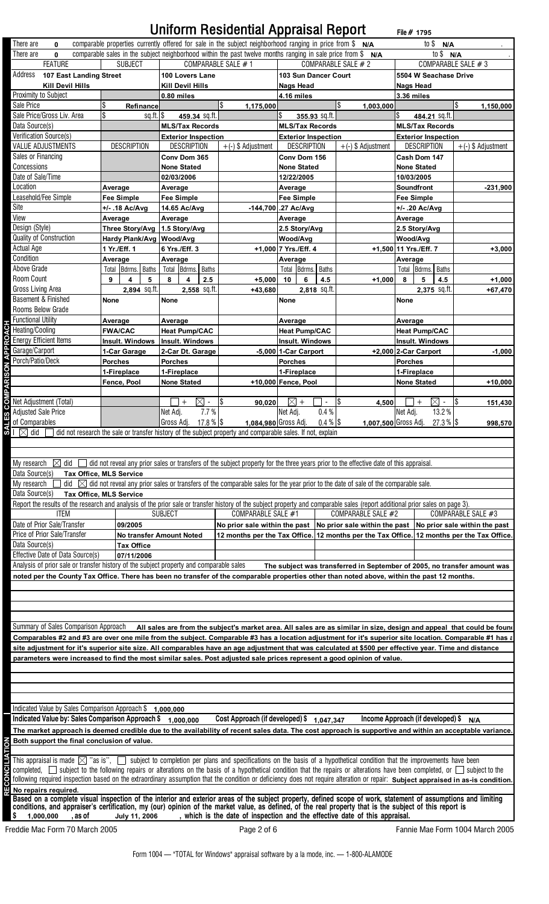# Uniform Residential Appraisal Report **File #**

|                                                                                                                                                                                                                                                           |                                |                                                  |                                                                                                                                                                        | UNITORM RESIDENTIAI APPRAISAI REPORT             |                                                                          | File # 1795                                          |                                 |
|-----------------------------------------------------------------------------------------------------------------------------------------------------------------------------------------------------------------------------------------------------------|--------------------------------|--------------------------------------------------|------------------------------------------------------------------------------------------------------------------------------------------------------------------------|--------------------------------------------------|--------------------------------------------------------------------------|------------------------------------------------------|---------------------------------|
| There are<br>0                                                                                                                                                                                                                                            |                                |                                                  | comparable properties currently offered for sale in the subject neighborhood ranging in price from $\phi$ N/A                                                          |                                                  |                                                                          | $to$ \$<br>N/A                                       |                                 |
| There are<br>0                                                                                                                                                                                                                                            |                                |                                                  | comparable sales in the subject neighborhood within the past twelve months ranging in sale price from \$ N/A                                                           |                                                  |                                                                          | to $$$ N/A                                           |                                 |
| <b>FEATURE</b>                                                                                                                                                                                                                                            | <b>SUBJECT</b>                 |                                                  | COMPARABLE SALE #1                                                                                                                                                     |                                                  | COMPARABLE SALE # 2                                                      |                                                      | COMPARABLE SALE #3              |
| Address<br>107 East Landing Street                                                                                                                                                                                                                        |                                | 100 Lovers Lane                                  |                                                                                                                                                                        | 103 Sun Dancer Court                             |                                                                          | 5504 W Seachase Drive                                |                                 |
| <b>Kill Devil Hills</b>                                                                                                                                                                                                                                   |                                | <b>Kill Devil Hills</b>                          |                                                                                                                                                                        | <b>Nags Head</b>                                 |                                                                          | Nags Head                                            |                                 |
| Proximity to Subject                                                                                                                                                                                                                                      |                                | 0.80 miles                                       |                                                                                                                                                                        | 4.16 miles                                       |                                                                          | 3.36 miles                                           |                                 |
| Sale Price<br>Sale Price/Gross Liv. Area                                                                                                                                                                                                                  | \$<br>Refinance<br>\$          |                                                  | \$<br>1,175,000                                                                                                                                                        |                                                  | Ι\$<br>1,003,000                                                         |                                                      | \$<br>1,150,000                 |
| Data Source(s)                                                                                                                                                                                                                                            | sq.ft. $\$                     | 459.34 sq.ft.                                    |                                                                                                                                                                        | \$<br>355.93 sq.ft.                              |                                                                          | S<br>484.21 sq.ft.                                   |                                 |
| Verification Source(s)                                                                                                                                                                                                                                    |                                | <b>MLS/Tax Records</b>                           |                                                                                                                                                                        | <b>MLS/Tax Records</b>                           |                                                                          | <b>MLS/Tax Records</b>                               |                                 |
| <b>VALUE ADJUSTMENTS</b>                                                                                                                                                                                                                                  | <b>DESCRIPTION</b>             | <b>Exterior Inspection</b><br><b>DESCRIPTION</b> | +(-) \$ Adjustment                                                                                                                                                     | <b>Exterior Inspection</b><br><b>DESCRIPTION</b> | $+(-)$ \$ Adjustment                                                     | <b>Exterior Inspection</b><br><b>DESCRIPTION</b>     | $+(-)$ \$ Adjustment            |
| Sales or Financing                                                                                                                                                                                                                                        |                                |                                                  |                                                                                                                                                                        |                                                  |                                                                          |                                                      |                                 |
| Concessions                                                                                                                                                                                                                                               |                                | Conv Dom 365<br><b>None Stated</b>               |                                                                                                                                                                        | Conv Dom 156<br><b>None Stated</b>               |                                                                          | Cash Dom 147                                         |                                 |
| Date of Sale/Time                                                                                                                                                                                                                                         |                                | 02/03/2006                                       |                                                                                                                                                                        | 12/22/2005                                       |                                                                          | <b>None Stated</b><br>10/03/2005                     |                                 |
| Location                                                                                                                                                                                                                                                  | Average                        | Average                                          |                                                                                                                                                                        | Average                                          |                                                                          | Soundfront                                           | $-231,900$                      |
| Leasehold/Fee Simple                                                                                                                                                                                                                                      | <b>Fee Simple</b>              | <b>Fee Simple</b>                                |                                                                                                                                                                        | <b>Fee Simple</b>                                |                                                                          | <b>Fee Simple</b>                                    |                                 |
| Site                                                                                                                                                                                                                                                      | +/-.18 Ac/Avg                  | 14.65 Ac/Avg                                     |                                                                                                                                                                        | -144,700 .27 Ac/Avg                              |                                                                          | +/-.20 Ac/Avg                                        |                                 |
| View                                                                                                                                                                                                                                                      | Average                        | Average                                          |                                                                                                                                                                        | Average                                          |                                                                          | Average                                              |                                 |
| Design (Style)                                                                                                                                                                                                                                            | <b>Three Story/Avg</b>         | 1.5 Story/Avg                                    |                                                                                                                                                                        | 2.5 Story/Avg                                    |                                                                          | 2.5 Story/Avg                                        |                                 |
| Quality of Construction                                                                                                                                                                                                                                   | Hardy Plank/Avg                | <b>Wood/Avg</b>                                  |                                                                                                                                                                        | Wood/Avg                                         |                                                                          | Wood/Avg                                             |                                 |
| Actual Age                                                                                                                                                                                                                                                | 1 Yr./Eff. 1                   | 6 Yrs./Eff. 3                                    |                                                                                                                                                                        | +1,000 7 Yrs./Eff. 4                             |                                                                          | +1,500 11 Yrs./Eff. 7                                | $+3,000$                        |
| Condition                                                                                                                                                                                                                                                 | Average                        | Average                                          |                                                                                                                                                                        | Average                                          |                                                                          | Average                                              |                                 |
| Above Grade                                                                                                                                                                                                                                               | Bdrms.<br>Baths<br>Total       | <b>Baths</b><br>Bdrms.<br>Total                  |                                                                                                                                                                        | <b>Baths</b><br>Total   Bdrms.                   |                                                                          | <b>Baths</b><br>Bdrms.<br>Total                      |                                 |
| Room Count                                                                                                                                                                                                                                                | 5<br>9<br>4                    | 2.5<br>8<br>4                                    | $+5,000$                                                                                                                                                               | 4.5<br>10<br>6                                   | $+1,000$                                                                 | 8<br>5<br>4.5                                        | $+1,000$                        |
| Gross Living Area                                                                                                                                                                                                                                         | 2,894 sq.ft.                   | 2,558 sq.ft.                                     | +43,680                                                                                                                                                                | 2,818 sq.ft.                                     |                                                                          | 2,375 sq.ft.                                         | $+67,470$                       |
| Basement & Finished                                                                                                                                                                                                                                       | <b>None</b>                    | <b>None</b>                                      |                                                                                                                                                                        | <b>None</b>                                      |                                                                          | None                                                 |                                 |
| Rooms Below Grade                                                                                                                                                                                                                                         |                                |                                                  |                                                                                                                                                                        |                                                  |                                                                          |                                                      |                                 |
| <b>Functional Utility</b>                                                                                                                                                                                                                                 | Average                        | Average                                          |                                                                                                                                                                        | Average                                          |                                                                          | Average                                              |                                 |
| Heating/Cooling                                                                                                                                                                                                                                           | <b>FWA/CAC</b>                 | <b>Heat Pump/CAC</b>                             |                                                                                                                                                                        | <b>Heat Pump/CAC</b>                             |                                                                          | <b>Heat Pump/CAC</b>                                 |                                 |
| <b>Energy Efficient Items</b>                                                                                                                                                                                                                             | <b>Insult. Windows</b>         | Insult. Windows                                  |                                                                                                                                                                        | Insult. Windows                                  |                                                                          | Insult. Windows                                      |                                 |
| Garage/Carport                                                                                                                                                                                                                                            | 1-Car Garage                   | 2-Car Dt. Garage                                 |                                                                                                                                                                        | $-5,000$ 1-Car Carport                           |                                                                          | +2,000 2-Car Carport                                 | $-1,000$                        |
| Porch/Patio/Deck                                                                                                                                                                                                                                          | <b>Porches</b>                 | <b>Porches</b>                                   |                                                                                                                                                                        | <b>Porches</b>                                   |                                                                          | <b>Porches</b>                                       |                                 |
|                                                                                                                                                                                                                                                           | 1-Fireplace                    | 1-Fireplace                                      |                                                                                                                                                                        | 1-Fireplace                                      |                                                                          | 1-Fireplace                                          |                                 |
|                                                                                                                                                                                                                                                           | Fence, Pool                    | <b>None Stated</b>                               |                                                                                                                                                                        | +10,000 Fence, Pool                              |                                                                          | <b>None Stated</b>                                   | $+10,000$                       |
|                                                                                                                                                                                                                                                           |                                |                                                  |                                                                                                                                                                        |                                                  |                                                                          |                                                      |                                 |
| Net Adjustment (Total)                                                                                                                                                                                                                                    |                                | $\boxtimes$<br>$^+$<br>$\blacksquare$            | \$<br>90.020                                                                                                                                                           | ⊠<br>$+$<br>$\frac{1}{2}$                        | l\$<br>4,500                                                             | $\boxtimes$<br>$\ddot{}$<br>$\overline{\phantom{a}}$ | I\$<br>151,430                  |
| Adjusted Sale Price                                                                                                                                                                                                                                       |                                | 7.7%<br>Net Adj.                                 |                                                                                                                                                                        | $0.4\%$<br>Net Adj.                              |                                                                          | Net Adj.<br>13.2%                                    |                                 |
| of Comparables                                                                                                                                                                                                                                            |                                | 17.8%<br>Gross Adj.                              | 1,084,980 Gross Adj.                                                                                                                                                   | $0.4 \%$ \$                                      | 1,007,500 Gross Adj.                                                     | 27.3%                                                | 998,570                         |
|                                                                                                                                                                                                                                                           |                                |                                                  |                                                                                                                                                                        |                                                  |                                                                          |                                                      |                                 |
| $\bm{\varpi}$ i $\bm{\boxtimes}$ aid                                                                                                                                                                                                                      |                                |                                                  | did not research the sale or transfer history of the subject property and comparable sales. If not, explain                                                            |                                                  |                                                                          |                                                      |                                 |
|                                                                                                                                                                                                                                                           |                                |                                                  |                                                                                                                                                                        |                                                  |                                                                          |                                                      |                                 |
|                                                                                                                                                                                                                                                           |                                |                                                  |                                                                                                                                                                        |                                                  |                                                                          |                                                      |                                 |
| $\boxtimes$<br>My research<br>did                                                                                                                                                                                                                         |                                |                                                  | did not reveal any prior sales or transfers of the subject property for the three years prior to the effective date of this appraisal.                                 |                                                  |                                                                          |                                                      |                                 |
| Data Source(s)                                                                                                                                                                                                                                            | <b>Tax Office, MLS Service</b> |                                                  |                                                                                                                                                                        |                                                  |                                                                          |                                                      |                                 |
| My research                                                                                                                                                                                                                                               |                                |                                                  | $\overline{\bowtie}$ did not reveal any prior sales or transfers of the comparable sales for the year prior to the date of sale of the comparable sale.                |                                                  |                                                                          |                                                      |                                 |
| Data Source(s)                                                                                                                                                                                                                                            | <b>Tax Office, MLS Service</b> |                                                  |                                                                                                                                                                        |                                                  |                                                                          |                                                      |                                 |
| Report the results of the research and analysis of the prior sale or transfer history of the subject property and comparable sales (report additional prior sales on page 3).                                                                             |                                |                                                  |                                                                                                                                                                        |                                                  |                                                                          |                                                      |                                 |
| <b>ITEM</b>                                                                                                                                                                                                                                               |                                | <b>SUBJECT</b>                                   | COMPARABLE SALE #1                                                                                                                                                     |                                                  | COMPARABLE SALE #2                                                       |                                                      | COMPARABLE SALE #3              |
| Date of Prior Sale/Transfer                                                                                                                                                                                                                               | 09/2005                        |                                                  | No prior sale within the past                                                                                                                                          |                                                  | No prior sale within the past                                            |                                                      | No prior sale within the past   |
| Price of Prior Sale/Transfer                                                                                                                                                                                                                              |                                | <b>No transfer Amount Noted</b>                  | 12 months per the Tax Office.                                                                                                                                          |                                                  | 12 months per the Tax Office. 12 months per the Tax Office.              |                                                      |                                 |
| Data Source(s)                                                                                                                                                                                                                                            | Tax Office                     |                                                  |                                                                                                                                                                        |                                                  |                                                                          |                                                      |                                 |
| Effective Date of Data Source(s)                                                                                                                                                                                                                          | 07/11/2006                     |                                                  |                                                                                                                                                                        |                                                  |                                                                          |                                                      |                                 |
| Analysis of prior sale or transfer history of the subject property and comparable sales                                                                                                                                                                   |                                |                                                  |                                                                                                                                                                        |                                                  | The subject was transferred in September of 2005, no transfer amount was |                                                      |                                 |
| noted per the County Tax Office. There has been no transfer of the comparable properties other than noted above, within the past 12 months.                                                                                                               |                                |                                                  |                                                                                                                                                                        |                                                  |                                                                          |                                                      |                                 |
|                                                                                                                                                                                                                                                           |                                |                                                  |                                                                                                                                                                        |                                                  |                                                                          |                                                      |                                 |
|                                                                                                                                                                                                                                                           |                                |                                                  |                                                                                                                                                                        |                                                  |                                                                          |                                                      |                                 |
|                                                                                                                                                                                                                                                           |                                |                                                  |                                                                                                                                                                        |                                                  |                                                                          |                                                      |                                 |
|                                                                                                                                                                                                                                                           |                                |                                                  |                                                                                                                                                                        |                                                  |                                                                          |                                                      |                                 |
| Summary of Sales Comparison Approach                                                                                                                                                                                                                      |                                |                                                  | All sales are from the subject's market area. All sales are as similar in size, design and appeal that could be found                                                  |                                                  |                                                                          |                                                      |                                 |
| Comparables #2 and #3 are over one mile from the subject. Comparable #3 has a location adjustment for it's superior site location. Comparable #1 has a                                                                                                    |                                |                                                  |                                                                                                                                                                        |                                                  |                                                                          |                                                      |                                 |
| site adjustment for it's superior site size. All comparables have an age adjustment that was calculated at \$500 per effective year. Time and distance                                                                                                    |                                |                                                  |                                                                                                                                                                        |                                                  |                                                                          |                                                      |                                 |
| parameters were increased to find the most similar sales. Post adjusted sale prices represent a good opinion of value.                                                                                                                                    |                                |                                                  |                                                                                                                                                                        |                                                  |                                                                          |                                                      |                                 |
|                                                                                                                                                                                                                                                           |                                |                                                  |                                                                                                                                                                        |                                                  |                                                                          |                                                      |                                 |
|                                                                                                                                                                                                                                                           |                                |                                                  |                                                                                                                                                                        |                                                  |                                                                          |                                                      |                                 |
|                                                                                                                                                                                                                                                           |                                |                                                  |                                                                                                                                                                        |                                                  |                                                                          |                                                      |                                 |
|                                                                                                                                                                                                                                                           |                                |                                                  |                                                                                                                                                                        |                                                  |                                                                          |                                                      |                                 |
| Indicated Value by Sales Comparison Approach \$1,000,000                                                                                                                                                                                                  |                                |                                                  |                                                                                                                                                                        |                                                  |                                                                          |                                                      |                                 |
| Indicated Value by: Sales Comparison Approach \$1,000,000                                                                                                                                                                                                 |                                |                                                  | Cost Approach (if developed) \$1,047,347                                                                                                                               |                                                  |                                                                          | Income Approach (if developed) \$                    | N/A                             |
| The market approach is deemed credible due to the availability of recent sales data. The cost approach is supportive and within an acceptable variance.                                                                                                   |                                |                                                  |                                                                                                                                                                        |                                                  |                                                                          |                                                      |                                 |
| Both support the final conclusion of value.                                                                                                                                                                                                               |                                |                                                  |                                                                                                                                                                        |                                                  |                                                                          |                                                      |                                 |
|                                                                                                                                                                                                                                                           |                                |                                                  |                                                                                                                                                                        |                                                  |                                                                          |                                                      |                                 |
| This appraisal is made $\boxtimes$ "as is", $\Box$ subject to completion per plans and specifications on the basis of a hypothetical condition that the improvements have been                                                                            |                                |                                                  |                                                                                                                                                                        |                                                  |                                                                          |                                                      |                                 |
| completed, [                                                                                                                                                                                                                                              |                                |                                                  | subject to the following repairs or alterations on the basis of a hypothetical condition that the repairs or alterations have been completed, or $\Box$ subject to the |                                                  |                                                                          |                                                      |                                 |
| following required inspection based on the extraordinary assumption that the condition or deficiency does not require alteration or repair: Subject appraised in as-is condition.                                                                         |                                |                                                  |                                                                                                                                                                        |                                                  |                                                                          |                                                      |                                 |
| No repairs required.                                                                                                                                                                                                                                      |                                |                                                  |                                                                                                                                                                        |                                                  |                                                                          |                                                      |                                 |
|                                                                                                                                                                                                                                                           |                                |                                                  |                                                                                                                                                                        |                                                  |                                                                          |                                                      |                                 |
| Based on a complete visual inspection of the interior and exterior areas of the subject property, defined scope of work, statement of assumptions and limiting conditions, and appraiser's certification, my (our) opinion of<br>\$<br>1,000,000<br>as of | July 11, 2006                  |                                                  |                                                                                                                                                                        |                                                  |                                                                          |                                                      |                                 |
| Freddie Mac Form 70 March 2005                                                                                                                                                                                                                            |                                |                                                  | , which is the date of inspection and the effective date of this appraisal.<br>Page 2 of 6                                                                             |                                                  |                                                                          |                                                      | Fannie Mae Form 1004 March 2005 |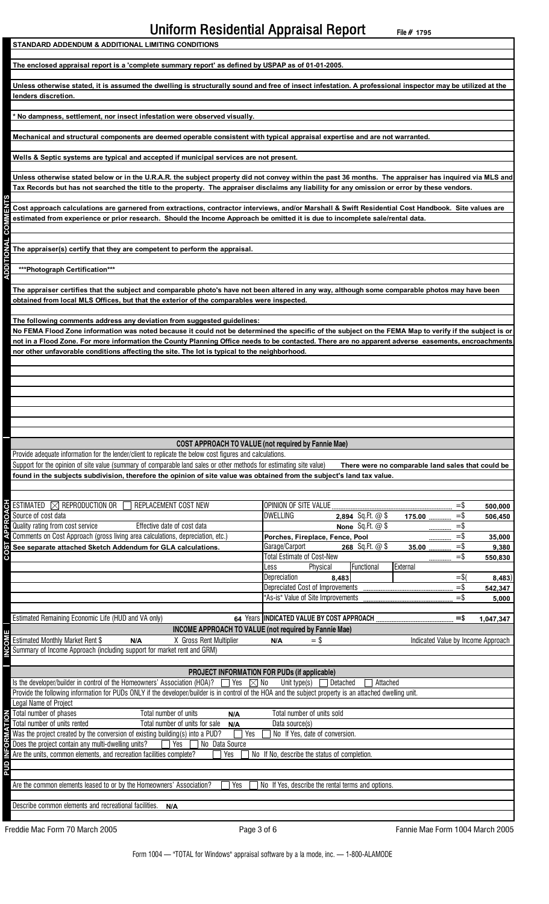#### **STANDARD ADDENDUM & ADDITIONAL LIMITING CONDITIONS**

**The enclosed appraisal report is a 'complete summary report' as defined by USPAP as of 01-01-2005.**

**Unless otherwise stated, it is assumed the dwelling is structurally sound and free of insect infestation. A professional inspector may be utilized at the lenders discretion.**

**\* No dampness, settlement, nor insect infestation were observed visually.**

**Mechanical and structural components are deemed operable consistent with typical appraisal expertise and are not warranted.**

**Wells & Septic systems are typical and accepted if municipal services are not present.**

**Unless otherwise stated below or in the U.R.A.R. the subject property did not convey within the past 36 months. The appraiser has inquired via MLS and Tax Records but has not searched the title to the property. The appraiser disclaims any liability for any omission or error by these vendors.**

**ADDITIONAL COMMENTS Cost approach calculations are garnered from extractions, contractor interviews, and/or Marshall & Swift Residential Cost Handbook. Site values are estimated from experience or prior research. Should the Income Approach be omitted it is due to incomplete sale/rental data.**

**The appraiser(s) certify that they are competent to perform the appraisal.**

 **\*\*\*Photograph Certification\*\*\***

**ADDITIONAL COMMENTS** 

**The appraiser certifies that the subject and comparable photo's have not been altered in any way, although some comparable photos may have been obtained from local MLS Offices, but that the exterior of the comparables were inspected.**

**The following comments address any deviation from suggested guidelines:**

**No FEMA Flood Zone information was noted because it could not be determined the specific of the subject on the FEMA Map to verify if the subject is or is not in a Flood Zone. For more information the County Planning Office needs to be contacted. There are no apparent adverse easements, encroachments, nor other unfavorable conditions affecting the site. The lot is typical to the neighborhood.**

#### **COST APPROACH TO VALUE (not required by Fannie Mae)**

Provide adequate information for the lender/client to replicate the below cost figures and calculations.

Support for the opinion of site value (summary of comparable land sales or other methods for estimating site value) **There were no comparable land sales that could be found in the subjects subdivision, therefore the opinion of site value was obtained from the subject's land tax value.**

| $\boxtimes$ REPRODUCTION OR<br>ESTIMATED<br>REPLACEMENT COST NEW                                                                                         | OPINION OF SITE VALUE                                 |                    |          |             | 500,000                            |
|----------------------------------------------------------------------------------------------------------------------------------------------------------|-------------------------------------------------------|--------------------|----------|-------------|------------------------------------|
| Source of cost data                                                                                                                                      | <b>DWFLLING</b>                                       | 2,894 Sq.Ft. @ \$  | 175.00   | $=$ \$      | 506,450                            |
| Quality rating from cost service<br>Effective date of cost data                                                                                          |                                                       | None $Sq.Ft. @ \$$ |          |             |                                    |
| Comments on Cost Approach (gross living area calculations, depreciation, etc.)                                                                           | Porches, Fireplace, Fence, Pool                       |                    |          | $=$ $$$     | 35,000                             |
| See separate attached Sketch Addendum for GLA calculations.                                                                                              | Garage/Carport                                        | 268 Sq.Ft. @ \$    | 35.00    | $=$ \$      | 9,380                              |
|                                                                                                                                                          | <b>Total Estimate of Cost-New</b>                     |                    |          | $=$ \$<br>. | 550,830                            |
|                                                                                                                                                          | Physical<br>Less                                      | Functional         | External |             |                                    |
|                                                                                                                                                          | Depreciation<br>8.483                                 |                    |          | $=$ \$      | 8,483                              |
|                                                                                                                                                          | Depreciated Cost of Improvements                      |                    |          | $=$ \$      | 542,347                            |
|                                                                                                                                                          | "As-is" Value of Site Improvements                    |                    |          | $=$ \$      | 5,000                              |
|                                                                                                                                                          |                                                       |                    |          |             |                                    |
| Estimated Remaining Economic Life (HUD and VA only)                                                                                                      | 64 Years   INDICATED VALUE BY COST APPROACH           |                    |          | $=$ s       | 1,047,347                          |
|                                                                                                                                                          | INCOME APPROACH TO VALUE (not required by Fannie Mae) |                    |          |             |                                    |
| Estimated Monthly Market Rent \$<br>X Gross Rent Multiplier<br>N/A                                                                                       | $=$ \$<br>N/A                                         |                    |          |             | Indicated Value by Income Approach |
| Summary of Income Approach (including support for market rent and GRM)                                                                                   |                                                       |                    |          |             |                                    |
|                                                                                                                                                          |                                                       |                    |          |             |                                    |
|                                                                                                                                                          | <b>PROJECT INFORMATION FOR PUDs (if applicable)</b>   |                    |          |             |                                    |
| Is the developer/builder in control of the Homeowners' Association (HOA)?<br>Yes<br>$\boxtimes$ No                                                       | Unit type $(s)$<br>Detached                           | Attached           |          |             |                                    |
| Provide the following information for PUDs ONLY if the developer/builder is in control of the HOA and the subject property is an attached dwelling unit. |                                                       |                    |          |             |                                    |
| Legal Name of Project                                                                                                                                    |                                                       |                    |          |             |                                    |
| Total number of phases<br>Total number of units<br>N/A                                                                                                   | Total number of units sold                            |                    |          |             |                                    |
| Total number of units rented<br>Total number of units for sale<br>N/A                                                                                    | Data source(s)                                        |                    |          |             |                                    |
| Was the project created by the conversion of existing building(s) into a PUD?<br>Yes                                                                     | No If Yes, date of conversion.                        |                    |          |             |                                    |
| Does the project contain any multi-dwelling units?<br>Yes<br>No Data Source                                                                              |                                                       |                    |          |             |                                    |
| Are the units, common elements, and recreation facilities complete?<br>Yes                                                                               | No If No, describe the status of completion.          |                    |          |             |                                    |
|                                                                                                                                                          |                                                       |                    |          |             |                                    |
|                                                                                                                                                          |                                                       |                    |          |             |                                    |
| Are the common elements leased to or by the Homeowners' Association?<br>Yes                                                                              | No If Yes, describe the rental terms and options.     |                    |          |             |                                    |
|                                                                                                                                                          |                                                       |                    |          |             |                                    |
| Describe common elements and recreational facilities.<br>N/A                                                                                             |                                                       |                    |          |             |                                    |

Freddie Mac Form 70 March 2005 Page 3 of 6 Fannie Mae Form 1004 March 2005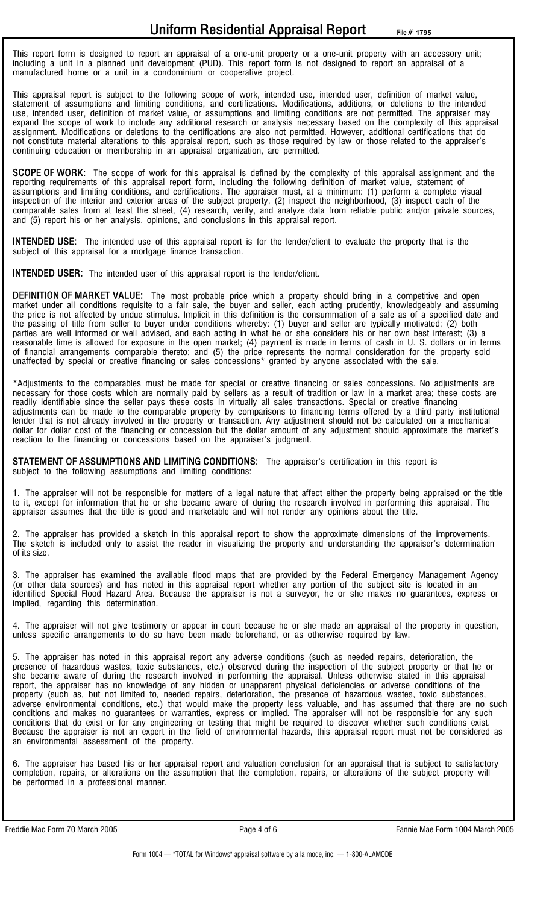This report form is designed to report an appraisal of a one-unit property or a one-unit property with an accessory unit; including a unit in a planned unit development (PUD). This report form is not designed to report an appraisal of a manufactured home or a unit in a condominium or cooperative project.

This appraisal report is subject to the following scope of work, intended use, intended user, definition of market value, statement of assumptions and limiting conditions, and certifications. Modifications, additions, or deletions to the intended use, intended user, definition of market value, or assumptions and limiting conditions are not permitted. The appraiser may expand the scope of work to include any additional research or analysis necessary based on the complexity of this appraisal assignment. Modifications or deletions to the certifications are also not permitted. However, additional certifications that do not constitute material alterations to this appraisal report, such as those required by law or those related to the appraiser's continuing education or membership in an appraisal organization, are permitted.

SCOPE OF WORK: The scope of work for this appraisal is defined by the complexity of this appraisal assignment and the reporting requirements of this appraisal report form, including the following definition of market value, statement of assumptions and limiting conditions, and certifications. The appraiser must, at a minimum: (1) perform a complete visual inspection of the interior and exterior areas of the subject property, (2) inspect the neighborhood, (3) inspect each of the comparable sales from at least the street, (4) research, verify, and analyze data from reliable public and/or private sources, and (5) report his or her analysis, opinions, and conclusions in this appraisal report.

INTENDED USE: The intended use of this appraisal report is for the lender/client to evaluate the property that is the subject of this appraisal for a mortgage finance transaction.

INTENDED USER: The intended user of this appraisal report is the lender/client.

DEFINITION OF MARKET VALUE: The most probable price which a property should bring in a competitive and open market under all conditions requisite to a fair sale, the buyer and seller, each acting prudently, knowledgeably and assuming the price is not affected by undue stimulus. Implicit in this definition is the consummation of a sale as of a specified date and the passing of title from seller to buyer under conditions whereby: (1) buyer and seller are typically motivated; (2) both parties are well informed or well advised, and each acting in what he or she considers his or her own best interest; (3) a reasonable time is allowed for exposure in the open market; (4) payment is made in terms of cash in U. S. dollars or in terms of financial arrangements comparable thereto; and (5) the price represents the normal consideration for the property sold unaffected by special or creative financing or sales concessions\* granted by anyone associated with the sale.

\*Adjustments to the comparables must be made for special or creative financing or sales concessions. No adjustments are necessary for those costs which are normally paid by sellers as a result of tradition or law in a market area; these costs are readily identifiable since the seller pays these costs in virtually all sales transactions. Special or creative financing adjustments can be made to the comparable property by comparisons to financing terms offered by a third party institutional lender that is not already involved in the property or transaction. Any adjustment should not be calculated on a mechanical dollar for dollar cost of the financing or concession but the dollar amount of any adjustment should approximate the market's reaction to the financing or concessions based on the appraiser's judgment.

STATEMENT OF ASSUMPTIONS AND LIMITING CONDITIONS: The appraiser's certification in this report is subject to the following assumptions and limiting conditions:

1. The appraiser will not be responsible for matters of a legal nature that affect either the property being appraised or the title to it, except for information that he or she became aware of during the research involved in performing this appraisal. The appraiser assumes that the title is good and marketable and will not render any opinions about the title.

2. The appraiser has provided a sketch in this appraisal report to show the approximate dimensions of the improvements. The sketch is included only to assist the reader in visualizing the property and understanding the appraiser's determination of its size.

3. The appraiser has examined the available flood maps that are provided by the Federal Emergency Management Agency (or other data sources) and has noted in this appraisal report whether any portion of the subject site is located in an identified Special Flood Hazard Area. Because the appraiser is not a surveyor, he or she makes no guarantees, express or implied, regarding this determination.

4. The appraiser will not give testimony or appear in court because he or she made an appraisal of the property in question, unless specific arrangements to do so have been made beforehand, or as otherwise required by law.

5. The appraiser has noted in this appraisal report any adverse conditions (such as needed repairs, deterioration, the presence of hazardous wastes, toxic substances, etc.) observed during the inspection of the subject property or that he or she became aware of during the research involved in performing the appraisal. Unless otherwise stated in this appraisal report, the appraiser has no knowledge of any hidden or unapparent physical deficiencies or adverse conditions of the property (such as, but not limited to, needed repairs, deterioration, the presence of hazardous wastes, toxic substances, adverse environmental conditions, etc.) that would make the property less valuable, and has assumed that there are no such conditions and makes no guarantees or warranties, express or implied. The appraiser will not be responsible for any such conditions that do exist or for any engineering or testing that might be required to discover whether such conditions exist. Because the appraiser is not an expert in the field of environmental hazards, this appraisal report must not be considered as an environmental assessment of the property.

6. The appraiser has based his or her appraisal report and valuation conclusion for an appraisal that is subject to satisfactory completion, repairs, or alterations on the assumption that the completion, repairs, or alterations of the subject property will be performed in a professional manner.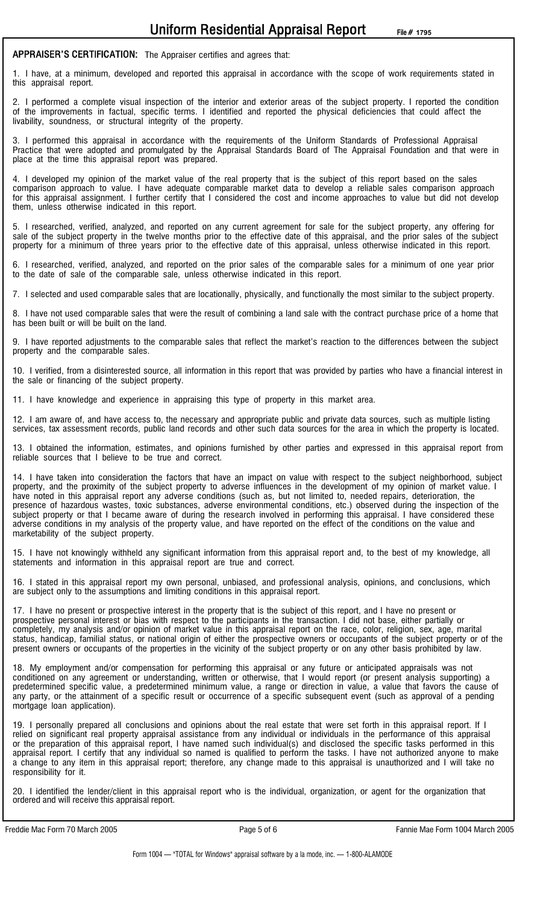### APPRAISER'S CERTIFICATION: The Appraiser certifies and agrees that:

1. I have, at a minimum, developed and reported this appraisal in accordance with the scope of work requirements stated in this appraisal report.

2. I performed a complete visual inspection of the interior and exterior areas of the subject property. I reported the condition of the improvements in factual, specific terms. I identified and reported the physical deficiencies that could affect the livability, soundness, or structural integrity of the property.

3. I performed this appraisal in accordance with the requirements of the Uniform Standards of Professional Appraisal Practice that were adopted and promulgated by the Appraisal Standards Board of The Appraisal Foundation and that were in place at the time this appraisal report was prepared.

4. I developed my opinion of the market value of the real property that is the subject of this report based on the sales comparison approach to value. I have adequate comparable market data to develop a reliable sales comparison approach for this appraisal assignment. I further certify that I considered the cost and income approaches to value but did not develop them, unless otherwise indicated in this report.

5. I researched, verified, analyzed, and reported on any current agreement for sale for the subject property, any offering for sale of the subject property in the twelve months prior to the effective date of this appraisal, and the prior sales of the subject property for a minimum of three years prior to the effective date of this appraisal, unless otherwise indicated in this report.

6. I researched, verified, analyzed, and reported on the prior sales of the comparable sales for a minimum of one year prior to the date of sale of the comparable sale, unless otherwise indicated in this report.

7. I selected and used comparable sales that are locationally, physically, and functionally the most similar to the subject property.

8. I have not used comparable sales that were the result of combining a land sale with the contract purchase price of a home that has been built or will be built on the land.

9. I have reported adjustments to the comparable sales that reflect the market's reaction to the differences between the subject property and the comparable sales.

10. I verified, from a disinterested source, all information in this report that was provided by parties who have a financial interest in the sale or financing of the subject property.

11. I have knowledge and experience in appraising this type of property in this market area.

12. I am aware of, and have access to, the necessary and appropriate public and private data sources, such as multiple listing services, tax assessment records, public land records and other such data sources for the area in which the property is located.

13. I obtained the information, estimates, and opinions furnished by other parties and expressed in this appraisal report from reliable sources that I believe to be true and correct.

14. I have taken into consideration the factors that have an impact on value with respect to the subject neighborhood, subject property, and the proximity of the subject property to adverse influences in the development of my opinion of market value. I have noted in this appraisal report any adverse conditions (such as, but not limited to, needed repairs, deterioration, the presence of hazardous wastes, toxic substances, adverse environmental conditions, etc.) observed during the inspection of the subject property or that I became aware of during the research involved in performing this appraisal. I have considered these adverse conditions in my analysis of the property value, and have reported on the effect of the conditions on the value and marketability of the subject property.

15. I have not knowingly withheld any significant information from this appraisal report and, to the best of my knowledge, all statements and information in this appraisal report are true and correct.

16. I stated in this appraisal report my own personal, unbiased, and professional analysis, opinions, and conclusions, which are subject only to the assumptions and limiting conditions in this appraisal report.

17. I have no present or prospective interest in the property that is the subject of this report, and I have no present or prospective personal interest or bias with respect to the participants in the transaction. I did not base, either partially or completely, my analysis and/or opinion of market value in this appraisal report on the race, color, religion, sex, age, marital status, handicap, familial status, or national origin of either the prospective owners or occupants of the subject property or of the present owners or occupants of the properties in the vicinity of the subject property or on any other basis prohibited by law.

18. My employment and/or compensation for performing this appraisal or any future or anticipated appraisals was not conditioned on any agreement or understanding, written or otherwise, that I would report (or present analysis supporting) a predetermined specific value, a predetermined minimum value, a range or direction in value, a value that favors the cause of any party, or the attainment of a specific result or occurrence of a specific subsequent event (such as approval of a pending mortgage loan application).

19. I personally prepared all conclusions and opinions about the real estate that were set forth in this appraisal report. If I relied on significant real property appraisal assistance from any individual or individuals in the performance of this appraisal or the preparation of this appraisal report, I have named such individual(s) and disclosed the specific tasks performed in this appraisal report. I certify that any individual so named is qualified to perform the tasks. I have not authorized anyone to make a change to any item in this appraisal report; therefore, any change made to this appraisal is unauthorized and I will take no responsibility for it.

20. I identified the lender/client in this appraisal report who is the individual, organization, or agent for the organization that ordered and will receive this appraisal report.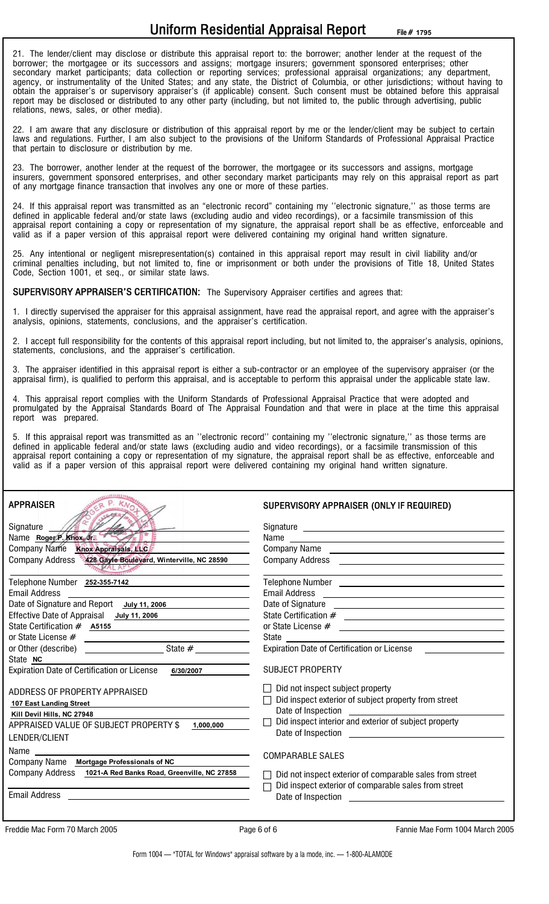21. The lender/client may disclose or distribute this appraisal report to: the borrower; another lender at the request of the borrower; the mortgagee or its successors and assigns; mortgage insurers; government sponsored enterprises; other secondary market participants; data collection or reporting services; professional appraisal organizations; any department, agency, or instrumentality of the United States; and any state, the District of Columbia, or other jurisdictions; without having to obtain the appraiser's or supervisory appraiser's (if applicable) consent. Such consent must be obtained before this appraisal report may be disclosed or distributed to any other party (including, but not limited to, the public through advertising, public relations, news, sales, or other media).

22. I am aware that any disclosure or distribution of this appraisal report by me or the lender/client may be subject to certain laws and regulations. Further, I am also subject to the provisions of the Uniform Standards of Professional Appraisal Practice that pertain to disclosure or distribution by me.

23. The borrower, another lender at the request of the borrower, the mortgagee or its successors and assigns, mortgage insurers, government sponsored enterprises, and other secondary market participants may rely on this appraisal report as part of any mortgage finance transaction that involves any one or more of these parties.

24. If this appraisal report was transmitted as an "electronic record" containing my ''electronic signature,'' as those terms are defined in applicable federal and/or state laws (excluding audio and video recordings), or a facsimile transmission of this appraisal report containing a copy or representation of my signature, the appraisal report shall be as effective, enforceable and valid as if a paper version of this appraisal report were delivered containing my original hand written signature.

25. Any intentional or negligent misrepresentation(s) contained in this appraisal report may result in civil liability and/or criminal penalties including, but not limited to, fine or imprisonment or both under the provisions of Title 18, United States Code, Section 1001, et seq., or similar state laws.

SUPERVISORY APPRAISER'S CERTIFICATION: The Supervisory Appraiser certifies and agrees that:

1. I directly supervised the appraiser for this appraisal assignment, have read the appraisal report, and agree with the appraiser's analysis, opinions, statements, conclusions, and the appraiser's certification.

2. I accept full responsibility for the contents of this appraisal report including, but not limited to, the appraiser's analysis, opinions, statements, conclusions, and the appraiser's certification.

3. The appraiser identified in this appraisal report is either a sub-contractor or an employee of the supervisory appraiser (or the appraisal firm), is qualified to perform this appraisal, and is acceptable to perform this appraisal under the applicable state law.

4. This appraisal report complies with the Uniform Standards of Professional Appraisal Practice that were adopted and promulgated by the Appraisal Standards Board of The Appraisal Foundation and that were in place at the time this appraisal report was prepared.

5. If this appraisal report was transmitted as an ''electronic record'' containing my ''electronic signature,'' as those terms are defined in applicable federal and/or state laws (excluding audio and video recordings), or a facsimile transmission of this appraisal report containing a copy or representation of my signature, the appraisal report shall be as effective, enforceable and valid as if a paper version of this appraisal report were delivered containing my original hand written signature.

| <b>APPRAISER</b>                                            | SUPERVISORY APPRAISER (ONLY IF REQUIRED)                                                                                                                                                                                       |
|-------------------------------------------------------------|--------------------------------------------------------------------------------------------------------------------------------------------------------------------------------------------------------------------------------|
| Signature                                                   |                                                                                                                                                                                                                                |
| Name Roger P. Knox, Jr.                                     |                                                                                                                                                                                                                                |
| Company Name Knox Appraisals, LLCF                          | Company Name experience and the company Name of the contract of the contract of the contract of the contract of the contract of the contract of the contract of the contract of the contract of the contract of the contract o |
| Company Address 428 Gayle Boulevard, Winterville, NC 28590  |                                                                                                                                                                                                                                |
| Telephone Number 252-355-7142                               |                                                                                                                                                                                                                                |
|                                                             |                                                                                                                                                                                                                                |
| Date of Signature and Report July 11, 2006                  |                                                                                                                                                                                                                                |
| Effective Date of Appraisal July 11, 2006                   |                                                                                                                                                                                                                                |
| State Certification # A5155                                 |                                                                                                                                                                                                                                |
|                                                             | State <b>State</b>                                                                                                                                                                                                             |
|                                                             | Expiration Date of Certification or License                                                                                                                                                                                    |
| State NC                                                    |                                                                                                                                                                                                                                |
| Expiration Date of Certification or License 6/30/2007       | <b>SUBJECT PROPERTY</b>                                                                                                                                                                                                        |
| ADDRESS OF PROPERTY APPRAISED                               | Did not inspect subject property                                                                                                                                                                                               |
| 107 East Landing Street                                     | Did inspect exterior of subject property from street                                                                                                                                                                           |
| Kill Devil Hills, NC 27948                                  |                                                                                                                                                                                                                                |
| APPRAISED VALUE OF SUBJECT PROPERTY \$ 1,000,000            | Did inspect interior and exterior of subject property                                                                                                                                                                          |
| LENDER/CLIENT                                               | Date of Inspection Date of Instruction                                                                                                                                                                                         |
|                                                             |                                                                                                                                                                                                                                |
| Company Name Mortgage Professionals of NC                   | <b>COMPARABLE SALES</b>                                                                                                                                                                                                        |
| Company Address 1021-A Red Banks Road, Greenville, NC 27858 | Did not inspect exterior of comparable sales from street                                                                                                                                                                       |
|                                                             | Did inspect exterior of comparable sales from street                                                                                                                                                                           |
| <b>Email Address</b>                                        | Date of Inspection Date of Institution                                                                                                                                                                                         |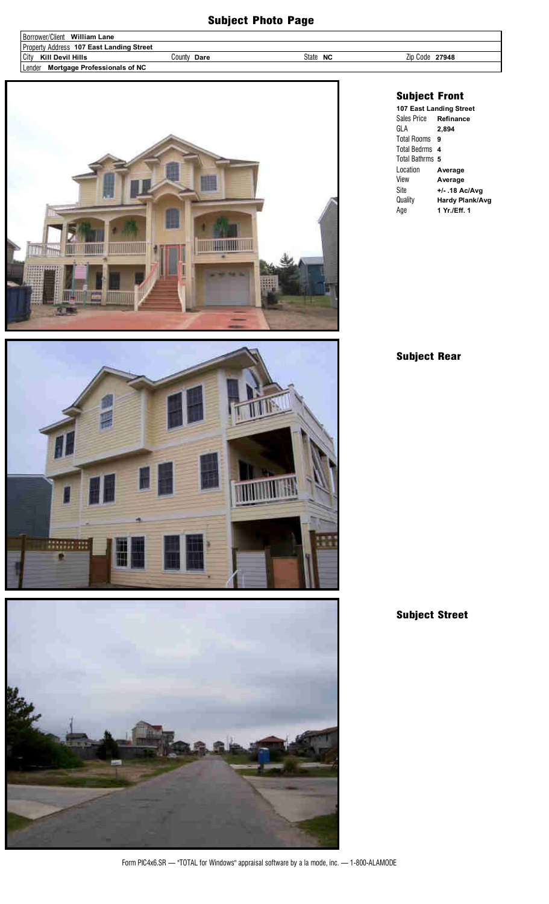# **Subject Photo Page**

State **NC** 

| Borrower/Client William Lane             |             |
|------------------------------------------|-------------|
| Property Address 107 East Landing Street |             |
| Kill Devil Hills<br>City                 | County Dare |
| Lender Mortgage Professionals of NC      |             |

**Kill Devil Hills Dare NC 27948**





| 107 East Landing Street |                 |  |  |  |  |  |
|-------------------------|-----------------|--|--|--|--|--|
| Sales Price             | Refinance       |  |  |  |  |  |
| GI A                    | 2,894           |  |  |  |  |  |
| Total Rooms 9           |                 |  |  |  |  |  |
| Total Bedrms 4          |                 |  |  |  |  |  |
| Total Bathrms 5         |                 |  |  |  |  |  |
| Location                | Average         |  |  |  |  |  |
| View                    | Average         |  |  |  |  |  |
| Site                    | +/- .18 Ac/Avg  |  |  |  |  |  |
| Qualitv                 | Hardy Plank/Avg |  |  |  |  |  |
| Aae                     | 1 Yr./Eff. 1    |  |  |  |  |  |
|                         |                 |  |  |  |  |  |

**Subject Rear**





Form PIC4x6.SR — "TOTAL for Windows" appraisal software by a la mode, inc. — 1-800-ALAMODE

**Subject Street**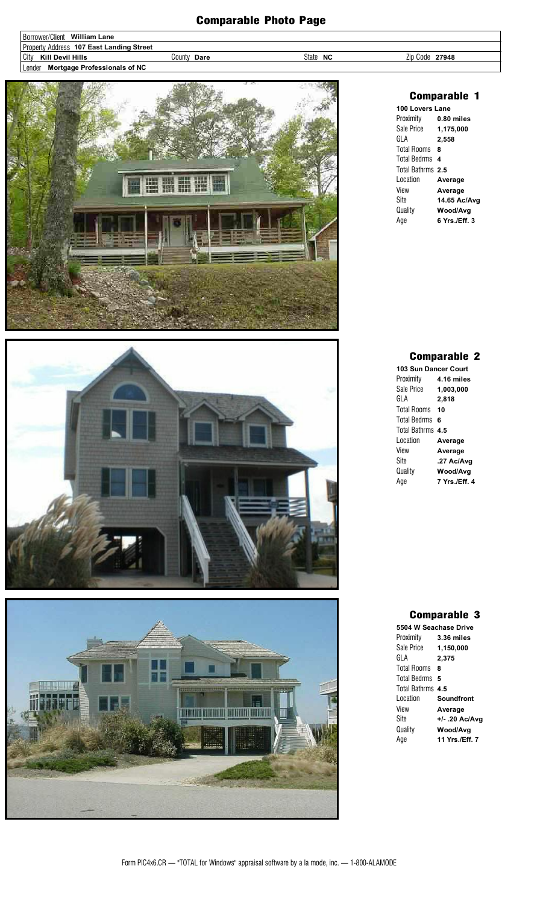## **Comparable Photo Page**

Borrower/Client **William Lane** Property Address **107 East Landing Street** City Kill Devil Hills Lender **Mortgage Professionals of NC**

County Dare State NC

**Kill Devil Hills Dare NC 27948**







#### **Comparable 1**

| 100 Lovers Lane    |               |  |  |  |  |  |
|--------------------|---------------|--|--|--|--|--|
| Proximity          | 0.80 miles    |  |  |  |  |  |
| Sale Price         | 1,175,000     |  |  |  |  |  |
| GI A               | 2,558         |  |  |  |  |  |
| <b>Total Rooms</b> | 8             |  |  |  |  |  |
| Total Bedrms       | 4             |  |  |  |  |  |
| Total Bathrms 2.5  |               |  |  |  |  |  |
| Location           | Average       |  |  |  |  |  |
| View               | Average       |  |  |  |  |  |
| Site               | 14.65 Ac/Avg  |  |  |  |  |  |
| Qualitv            | Wood/Avg      |  |  |  |  |  |
| Age                | 6 Yrs./Eff. 3 |  |  |  |  |  |

## **Comparable 2**

| 103 Sun Dancer Court |               |  |  |  |  |  |
|----------------------|---------------|--|--|--|--|--|
| Proximity            | 4.16 miles    |  |  |  |  |  |
| Sale Price           | 1,003,000     |  |  |  |  |  |
| GI A                 | 2,818         |  |  |  |  |  |
| <b>Total Rooms</b>   | 10            |  |  |  |  |  |
| <b>Total Bedrms</b>  | ĥ             |  |  |  |  |  |
| Total Bathrms 4.5    |               |  |  |  |  |  |
| l ocation            | Average       |  |  |  |  |  |
| View                 | Average       |  |  |  |  |  |
| Site                 | .27 Ac/Avg    |  |  |  |  |  |
| Quality              | Wood/Avg      |  |  |  |  |  |
| Aae                  | 7 Yrs /Eff. 4 |  |  |  |  |  |
|                      |               |  |  |  |  |  |

#### **Comparable 3**

| 5504 W Seachase Drive |                |  |  |  |  |  |
|-----------------------|----------------|--|--|--|--|--|
| Proximity             | 3.36 miles     |  |  |  |  |  |
| Sale Price            | 1,150,000      |  |  |  |  |  |
| GLA                   | 2,375          |  |  |  |  |  |
| <b>Total Rooms</b>    | 8              |  |  |  |  |  |
| <b>Total Bedrms</b>   | 5              |  |  |  |  |  |
| Total Bathrms 4.5     |                |  |  |  |  |  |
| l ocation             | Soundfront     |  |  |  |  |  |
| View                  | Average        |  |  |  |  |  |
| Site                  | +/- .20 Ac/Ava |  |  |  |  |  |
| Quality               | Wood/Avg       |  |  |  |  |  |
| Aae                   | 11 Yrs /Eff. 7 |  |  |  |  |  |
|                       |                |  |  |  |  |  |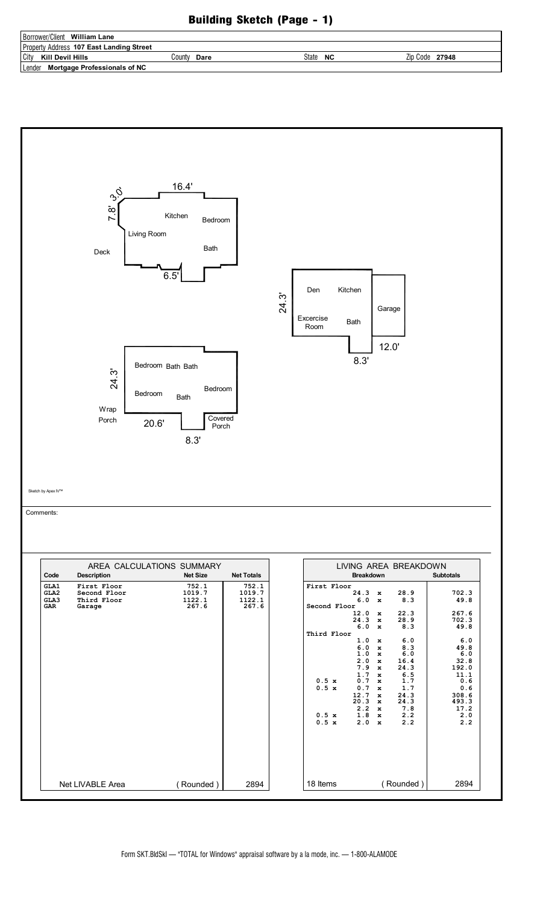**Building Sketch (Page - 1)**

| Borrower/Client William Lane             |                |                 |                |
|------------------------------------------|----------------|-----------------|----------------|
| Property Address 107 East Landing Street |                |                 |                |
| City Kill Devil Hills                    | Dare<br>Jountv | State <b>NC</b> | Zip Code 27948 |
| Lender<br>Mortgage Professionals of NC   |                |                 |                |